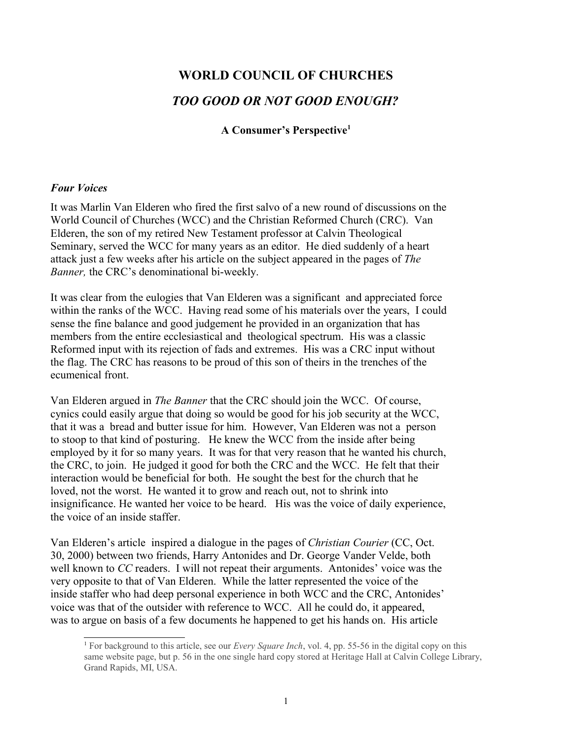# **WORLD COUNCIL OF CHURCHES** *TOO GOOD OR NOT GOOD ENOUGH?*

**A Consumer's Perspective[1](#page-0-0)**

## *Four Voices*

It was Marlin Van Elderen who fired the first salvo of a new round of discussions on the World Council of Churches (WCC) and the Christian Reformed Church (CRC). Van Elderen, the son of my retired New Testament professor at Calvin Theological Seminary, served the WCC for many years as an editor. He died suddenly of a heart attack just a few weeks after his article on the subject appeared in the pages of *The Banner,* the CRC's denominational bi-weekly.

It was clear from the eulogies that Van Elderen was a significant and appreciated force within the ranks of the WCC. Having read some of his materials over the years, I could sense the fine balance and good judgement he provided in an organization that has members from the entire ecclesiastical and theological spectrum. His was a classic Reformed input with its rejection of fads and extremes. His was a CRC input without the flag. The CRC has reasons to be proud of this son of theirs in the trenches of the ecumenical front.

Van Elderen argued in *The Banner* that the CRC should join the WCC. Of course, cynics could easily argue that doing so would be good for his job security at the WCC, that it was a bread and butter issue for him. However, Van Elderen was not a person to stoop to that kind of posturing. He knew the WCC from the inside after being employed by it for so many years. It was for that very reason that he wanted his church, the CRC, to join. He judged it good for both the CRC and the WCC. He felt that their interaction would be beneficial for both. He sought the best for the church that he loved, not the worst. He wanted it to grow and reach out, not to shrink into insignificance. He wanted her voice to be heard. His was the voice of daily experience, the voice of an inside staffer.

Van Elderen's article inspired a dialogue in the pages of *Christian Courier* (CC, Oct. 30, 2000) between two friends, Harry Antonides and Dr. George Vander Velde, both well known to *CC* readers. I will not repeat their arguments. Antonides' voice was the very opposite to that of Van Elderen. While the latter represented the voice of the inside staffer who had deep personal experience in both WCC and the CRC, Antonides' voice was that of the outsider with reference to WCC. All he could do, it appeared, was to argue on basis of a few documents he happened to get his hands on. His article

<span id="page-0-0"></span><sup>1</sup> For background to this article, see our *Every Square Inch*, vol. 4, pp. 55-56 in the digital copy on this same website page, but p. 56 in the one single hard copy stored at Heritage Hall at Calvin College Library, Grand Rapids, MI, USA.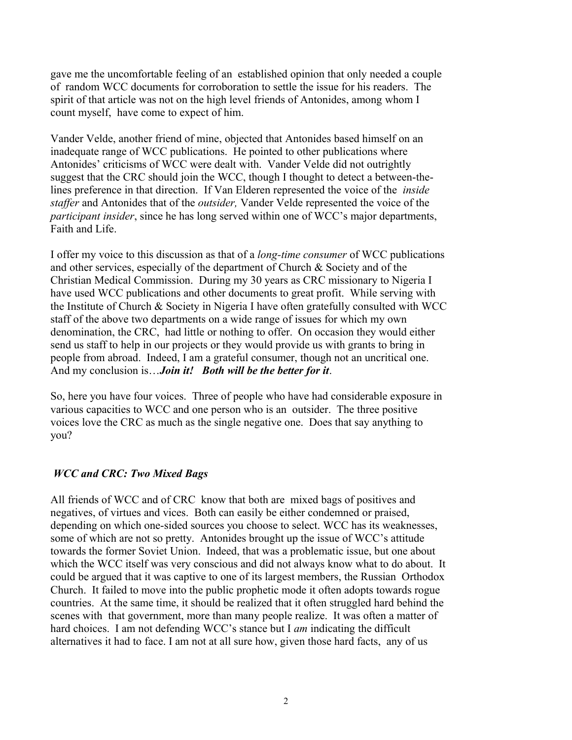gave me the uncomfortable feeling of an established opinion that only needed a couple of random WCC documents for corroboration to settle the issue for his readers. The spirit of that article was not on the high level friends of Antonides, among whom I count myself, have come to expect of him.

Vander Velde, another friend of mine, objected that Antonides based himself on an inadequate range of WCC publications. He pointed to other publications where Antonides' criticisms of WCC were dealt with. Vander Velde did not outrightly suggest that the CRC should join the WCC, though I thought to detect a between-thelines preference in that direction. If Van Elderen represented the voice of the *inside staffer* and Antonides that of the *outsider,* Vander Velde represented the voice of the *participant insider*, since he has long served within one of WCC's major departments, Faith and Life.

I offer my voice to this discussion as that of a *long-time consumer* of WCC publications and other services, especially of the department of Church & Society and of the Christian Medical Commission. During my 30 years as CRC missionary to Nigeria I have used WCC publications and other documents to great profit. While serving with the Institute of Church & Society in Nigeria I have often gratefully consulted with WCC staff of the above two departments on a wide range of issues for which my own denomination, the CRC, had little or nothing to offer. On occasion they would either send us staff to help in our projects or they would provide us with grants to bring in people from abroad. Indeed, I am a grateful consumer, though not an uncritical one. And my conclusion is…*Join it! Both will be the better for it*.

So, here you have four voices. Three of people who have had considerable exposure in various capacities to WCC and one person who is an outsider. The three positive voices love the CRC as much as the single negative one. Does that say anything to you?

# *WCC and CRC: Two Mixed Bags*

All friends of WCC and of CRC know that both are mixed bags of positives and negatives, of virtues and vices. Both can easily be either condemned or praised, depending on which one-sided sources you choose to select. WCC has its weaknesses, some of which are not so pretty. Antonides brought up the issue of WCC's attitude towards the former Soviet Union. Indeed, that was a problematic issue, but one about which the WCC itself was very conscious and did not always know what to do about. It could be argued that it was captive to one of its largest members, the Russian Orthodox Church. It failed to move into the public prophetic mode it often adopts towards rogue countries. At the same time, it should be realized that it often struggled hard behind the scenes with that government, more than many people realize. It was often a matter of hard choices. I am not defending WCC's stance but I *am* indicating the difficult alternatives it had to face. I am not at all sure how, given those hard facts, any of us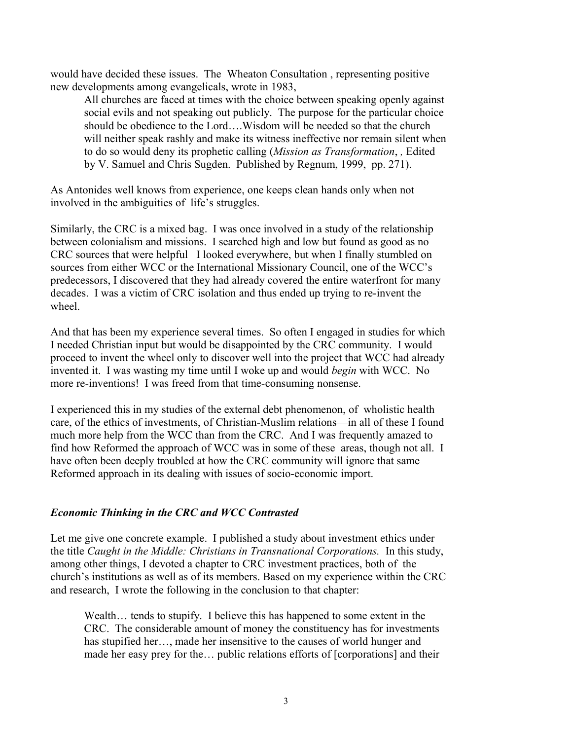would have decided these issues. The Wheaton Consultation , representing positive new developments among evangelicals, wrote in 1983,

All churches are faced at times with the choice between speaking openly against social evils and not speaking out publicly. The purpose for the particular choice should be obedience to the Lord….Wisdom will be needed so that the church will neither speak rashly and make its witness ineffective nor remain silent when to do so would deny its prophetic calling (*Mission as Transformation*, *,* Edited by V. Samuel and Chris Sugden. Published by Regnum, 1999, pp. 271).

As Antonides well knows from experience, one keeps clean hands only when not involved in the ambiguities of life's struggles.

Similarly, the CRC is a mixed bag. I was once involved in a study of the relationship between colonialism and missions. I searched high and low but found as good as no CRC sources that were helpfulI looked everywhere, but when I finally stumbled on sources from either WCC or the International Missionary Council, one of the WCC's predecessors, I discovered that they had already covered the entire waterfront for many decades. I was a victim of CRC isolation and thus ended up trying to re-invent the wheel.

And that has been my experience several times. So often I engaged in studies for which I needed Christian input but would be disappointed by the CRC community. I would proceed to invent the wheel only to discover well into the project that WCC had already invented it. I was wasting my time until I woke up and would *begin* with WCC. No more re-inventions! I was freed from that time-consuming nonsense.

I experienced this in my studies of the external debt phenomenon, of wholistic health care, of the ethics of investments, of Christian-Muslim relations—in all of these I found much more help from the WCC than from the CRC. And I was frequently amazed to find how Reformed the approach of WCC was in some of these areas, though not all. I have often been deeply troubled at how the CRC community will ignore that same Reformed approach in its dealing with issues of socio-economic import.

#### *Economic Thinking in the CRC and WCC Contrasted*

Let me give one concrete example. I published a study about investment ethics under the title *Caught in the Middle: Christians in Transnational Corporations.* In this study, among other things, I devoted a chapter to CRC investment practices, both of the church's institutions as well as of its members. Based on my experience within the CRC and research, I wrote the following in the conclusion to that chapter:

Wealth… tends to stupify. I believe this has happened to some extent in the CRC. The considerable amount of money the constituency has for investments has stupified her…, made her insensitive to the causes of world hunger and made her easy prey for the… public relations efforts of [corporations] and their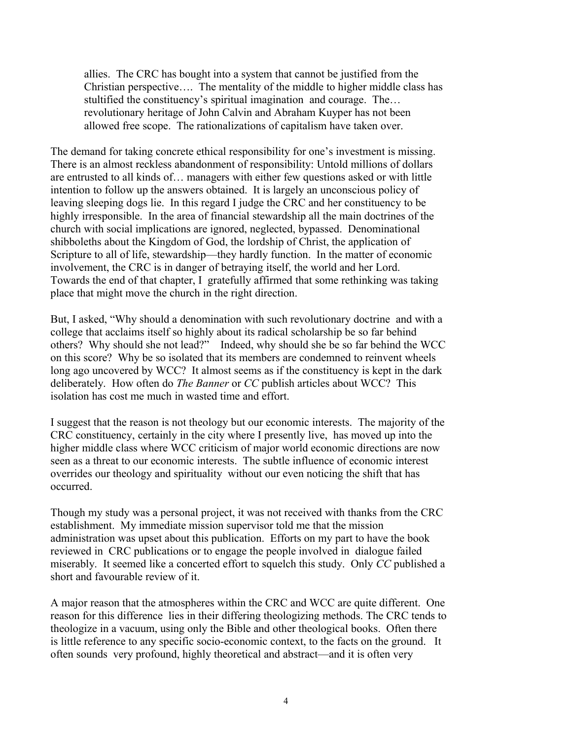allies. The CRC has bought into a system that cannot be justified from the Christian perspective…. The mentality of the middle to higher middle class has stultified the constituency's spiritual imagination and courage. The… revolutionary heritage of John Calvin and Abraham Kuyper has not been allowed free scope. The rationalizations of capitalism have taken over.

The demand for taking concrete ethical responsibility for one's investment is missing. There is an almost reckless abandonment of responsibility: Untold millions of dollars are entrusted to all kinds of… managers with either few questions asked or with little intention to follow up the answers obtained. It is largely an unconscious policy of leaving sleeping dogs lie. In this regard I judge the CRC and her constituency to be highly irresponsible. In the area of financial stewardship all the main doctrines of the church with social implications are ignored, neglected, bypassed. Denominational shibboleths about the Kingdom of God, the lordship of Christ, the application of Scripture to all of life, stewardship—they hardly function. In the matter of economic involvement, the CRC is in danger of betraying itself, the world and her Lord. Towards the end of that chapter, I gratefully affirmed that some rethinking was taking place that might move the church in the right direction.

But, I asked, "Why should a denomination with such revolutionary doctrine and with a college that acclaims itself so highly about its radical scholarship be so far behind others? Why should she not lead?" Indeed, why should she be so far behind the WCC on this score? Why be so isolated that its members are condemned to reinvent wheels long ago uncovered by WCC? It almost seems as if the constituency is kept in the dark deliberately. How often do *The Banner* or *CC* publish articles about WCC? This isolation has cost me much in wasted time and effort.

I suggest that the reason is not theology but our economic interests. The majority of the CRC constituency, certainly in the city where I presently live, has moved up into the higher middle class where WCC criticism of major world economic directions are now seen as a threat to our economic interests. The subtle influence of economic interest overrides our theology and spirituality without our even noticing the shift that has occurred.

Though my study was a personal project, it was not received with thanks from the CRC establishment. My immediate mission supervisor told me that the mission administration was upset about this publication. Efforts on my part to have the book reviewed in CRC publications or to engage the people involved in dialogue failed miserably. It seemed like a concerted effort to squelch this study. Only *CC* published a short and favourable review of it.

A major reason that the atmospheres within the CRC and WCC are quite different. One reason for this difference lies in their differing theologizing methods. The CRC tends to theologize in a vacuum, using only the Bible and other theological books. Often there is little reference to any specific socio-economic context, to the facts on the ground. It often sounds very profound, highly theoretical and abstract—and it is often very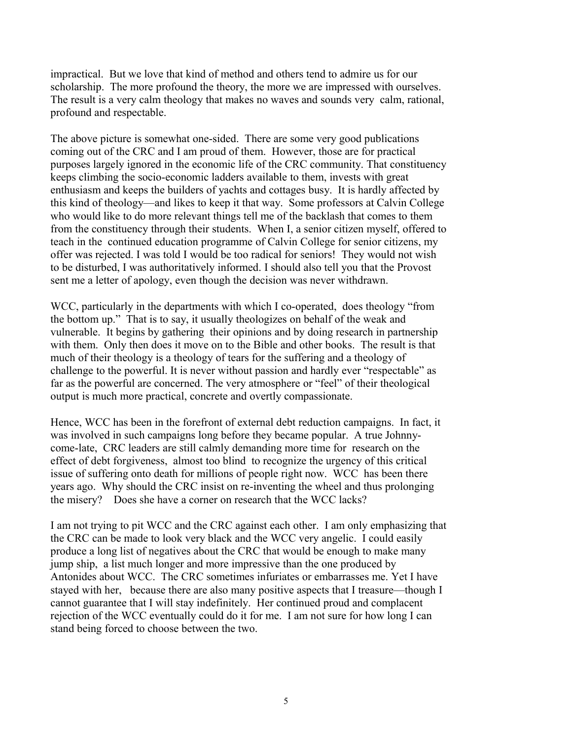impractical. But we love that kind of method and others tend to admire us for our scholarship. The more profound the theory, the more we are impressed with ourselves. The result is a very calm theology that makes no waves and sounds very calm, rational, profound and respectable.

The above picture is somewhat one-sided. There are some very good publications coming out of the CRC and I am proud of them. However, those are for practical purposes largely ignored in the economic life of the CRC community. That constituency keeps climbing the socio-economic ladders available to them, invests with great enthusiasm and keeps the builders of yachts and cottages busy. It is hardly affected by this kind of theology—and likes to keep it that way. Some professors at Calvin College who would like to do more relevant things tell me of the backlash that comes to them from the constituency through their students. When I, a senior citizen myself, offered to teach in the continued education programme of Calvin College for senior citizens, my offer was rejected. I was told I would be too radical for seniors! They would not wish to be disturbed, I was authoritatively informed. I should also tell you that the Provost sent me a letter of apology, even though the decision was never withdrawn.

WCC, particularly in the departments with which I co-operated, does theology "from the bottom up." That is to say, it usually theologizes on behalf of the weak and vulnerable. It begins by gathering their opinions and by doing research in partnership with them. Only then does it move on to the Bible and other books. The result is that much of their theology is a theology of tears for the suffering and a theology of challenge to the powerful. It is never without passion and hardly ever "respectable" as far as the powerful are concerned. The very atmosphere or "feel" of their theological output is much more practical, concrete and overtly compassionate.

Hence, WCC has been in the forefront of external debt reduction campaigns. In fact, it was involved in such campaigns long before they became popular. A true Johnnycome-late, CRC leaders are still calmly demanding more time for research on the effect of debt forgiveness, almost too blind to recognize the urgency of this critical issue of suffering onto death for millions of people right now. WCC has been there years ago. Why should the CRC insist on re-inventing the wheel and thus prolonging the misery? Does she have a corner on research that the WCC lacks?

I am not trying to pit WCC and the CRC against each other. I am only emphasizing that the CRC can be made to look very black and the WCC very angelic. I could easily produce a long list of negatives about the CRC that would be enough to make many jump ship, a list much longer and more impressive than the one produced by Antonides about WCC. The CRC sometimes infuriates or embarrasses me. Yet I have stayed with her, because there are also many positive aspects that I treasure—though I cannot guarantee that I will stay indefinitely. Her continued proud and complacent rejection of the WCC eventually could do it for me. I am not sure for how long I can stand being forced to choose between the two.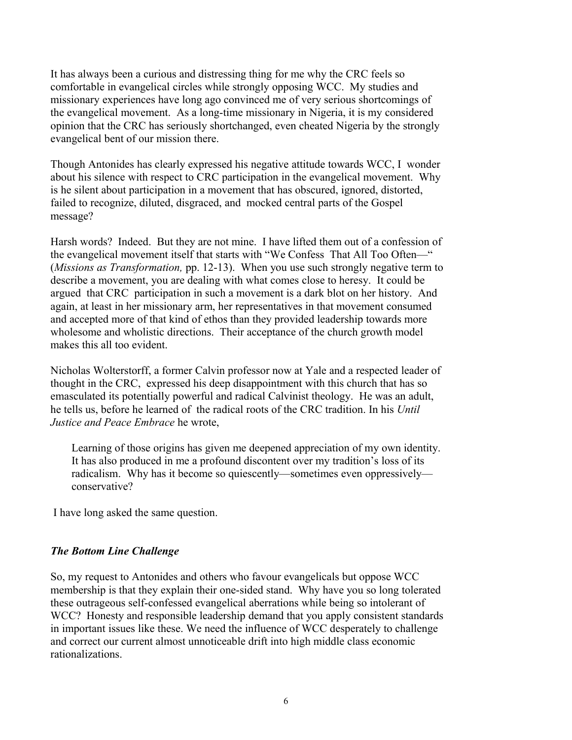It has always been a curious and distressing thing for me why the CRC feels so comfortable in evangelical circles while strongly opposing WCC. My studies and missionary experiences have long ago convinced me of very serious shortcomings of the evangelical movement. As a long-time missionary in Nigeria, it is my considered opinion that the CRC has seriously shortchanged, even cheated Nigeria by the strongly evangelical bent of our mission there.

Though Antonides has clearly expressed his negative attitude towards WCC, I wonder about his silence with respect to CRC participation in the evangelical movement. Why is he silent about participation in a movement that has obscured, ignored, distorted, failed to recognize, diluted, disgraced, and mocked central parts of the Gospel message?

Harsh words? Indeed. But they are not mine. I have lifted them out of a confession of the evangelical movement itself that starts with "We Confess That All Too Often—" (*Missions as Transformation,* pp. 12-13). When you use such strongly negative term to describe a movement, you are dealing with what comes close to heresy. It could be argued that CRC participation in such a movement is a dark blot on her history. And again, at least in her missionary arm, her representatives in that movement consumed and accepted more of that kind of ethos than they provided leadership towards more wholesome and wholistic directions. Their acceptance of the church growth model makes this all too evident.

Nicholas Wolterstorff, a former Calvin professor now at Yale and a respected leader of thought in the CRC, expressed his deep disappointment with this church that has so emasculated its potentially powerful and radical Calvinist theology. He was an adult, he tells us, before he learned of the radical roots of the CRC tradition. In his *Until Justice and Peace Embrace* he wrote,

Learning of those origins has given me deepened appreciation of my own identity. It has also produced in me a profound discontent over my tradition's loss of its radicalism. Why has it become so quiescently—sometimes even oppressively conservative?

I have long asked the same question.

## *The Bottom Line Challenge*

So, my request to Antonides and others who favour evangelicals but oppose WCC membership is that they explain their one-sided stand. Why have you so long tolerated these outrageous self-confessed evangelical aberrations while being so intolerant of WCC? Honesty and responsible leadership demand that you apply consistent standards in important issues like these. We need the influence of WCC desperately to challenge and correct our current almost unnoticeable drift into high middle class economic rationalizations.